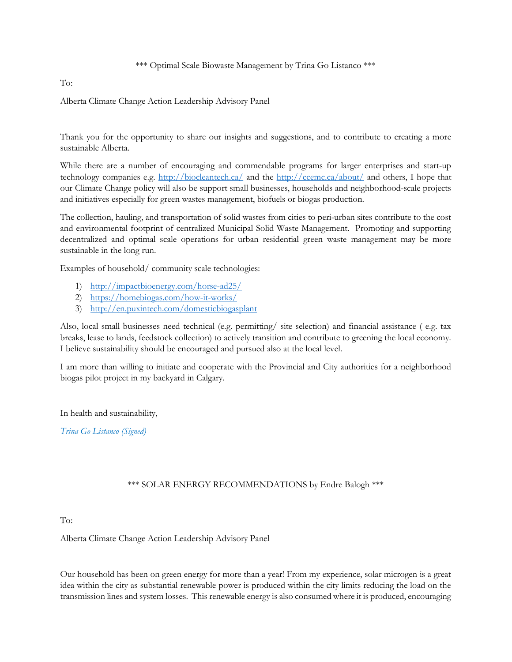\*\*\* Optimal Scale Biowaste Management by Trina Go Listanco \*\*\*

## To:

Alberta Climate Change Action Leadership Advisory Panel

Thank you for the opportunity to share our insights and suggestions, and to contribute to creating a more sustainable Alberta.

While there are a number of encouraging and commendable programs for larger enterprises and start-up technology companies e.g. http://biocleantech.ca/ and the http://ccemc.ca/about/ and others, I hope that our Climate Change policy will also be support small businesses, households and neighborhood-scale projects and initiatives especially for green wastes management, biofuels or biogas production.

The collection, hauling, and transportation of solid wastes from cities to peri-urban sites contribute to the cost and environmental footprint of centralized Municipal Solid Waste Management. Promoting and supporting decentralized and optimal scale operations for urban residential green waste management may be more sustainable in the long run.

Examples of household/ community scale technologies:

- 1) http://impactbioenergy.com/horse-ad25/
- 2) https://homebiogas.com/how-it-works/
- 3) http://en.puxintech.com/domesticbiogasplant

Also, local small businesses need technical (e.g. permitting/ site selection) and financial assistance ( e.g. tax breaks, lease to lands, feedstock collection) to actively transition and contribute to greening the local economy. I believe sustainability should be encouraged and pursued also at the local level.

I am more than willing to initiate and cooperate with the Provincial and City authorities for a neighborhood biogas pilot project in my backyard in Calgary.

In health and sustainability,

Trina Go Listanco (Signed)

## \*\*\* SOLAR ENERGY RECOMMENDATIONS by Endre Balogh \*\*\*

To:

Alberta Climate Change Action Leadership Advisory Panel

Our household has been on green energy for more than a year! From my experience, solar microgen is a great idea within the city as substantial renewable power is produced within the city limits reducing the load on the transmission lines and system losses. This renewable energy is also consumed where it is produced, encouraging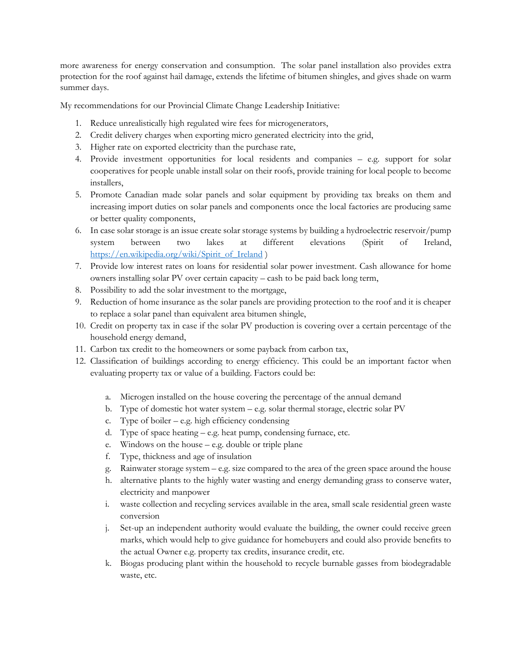more awareness for energy conservation and consumption. The solar panel installation also provides extra protection for the roof against hail damage, extends the lifetime of bitumen shingles, and gives shade on warm summer days.

My recommendations for our Provincial Climate Change Leadership Initiative:

- 1. Reduce unrealistically high regulated wire fees for microgenerators,
- 2. Credit delivery charges when exporting micro generated electricity into the grid,
- 3. Higher rate on exported electricity than the purchase rate,
- 4. Provide investment opportunities for local residents and companies e.g. support for solar cooperatives for people unable install solar on their roofs, provide training for local people to become installers,
- 5. Promote Canadian made solar panels and solar equipment by providing tax breaks on them and increasing import duties on solar panels and components once the local factories are producing same or better quality components,
- 6. In case solar storage is an issue create solar storage systems by building a hydroelectric reservoir/pump system between two lakes at different elevations (Spirit of Ireland, https://en.wikipedia.org/wiki/Spirit\_of\_Ireland )
- 7. Provide low interest rates on loans for residential solar power investment. Cash allowance for home owners installing solar PV over certain capacity – cash to be paid back long term,
- 8. Possibility to add the solar investment to the mortgage,
- 9. Reduction of home insurance as the solar panels are providing protection to the roof and it is cheaper to replace a solar panel than equivalent area bitumen shingle,
- 10. Credit on property tax in case if the solar PV production is covering over a certain percentage of the household energy demand,
- 11. Carbon tax credit to the homeowners or some payback from carbon tax,
- 12. Classification of buildings according to energy efficiency. This could be an important factor when evaluating property tax or value of a building. Factors could be:
	- a. Microgen installed on the house covering the percentage of the annual demand
	- b. Type of domestic hot water system e.g. solar thermal storage, electric solar PV
	- c. Type of boiler  $-$  e.g. high efficiency condensing
	- d. Type of space heating e.g. heat pump, condensing furnace, etc.
	- e. Windows on the house e.g. double or triple plane
	- f. Type, thickness and age of insulation
	- g. Rainwater storage system e.g. size compared to the area of the green space around the house
	- h. alternative plants to the highly water wasting and energy demanding grass to conserve water, electricity and manpower
	- i. waste collection and recycling services available in the area, small scale residential green waste conversion
	- j. Set-up an independent authority would evaluate the building, the owner could receive green marks, which would help to give guidance for homebuyers and could also provide benefits to the actual Owner e.g. property tax credits, insurance credit, etc.
	- k. Biogas producing plant within the household to recycle burnable gasses from biodegradable waste, etc.